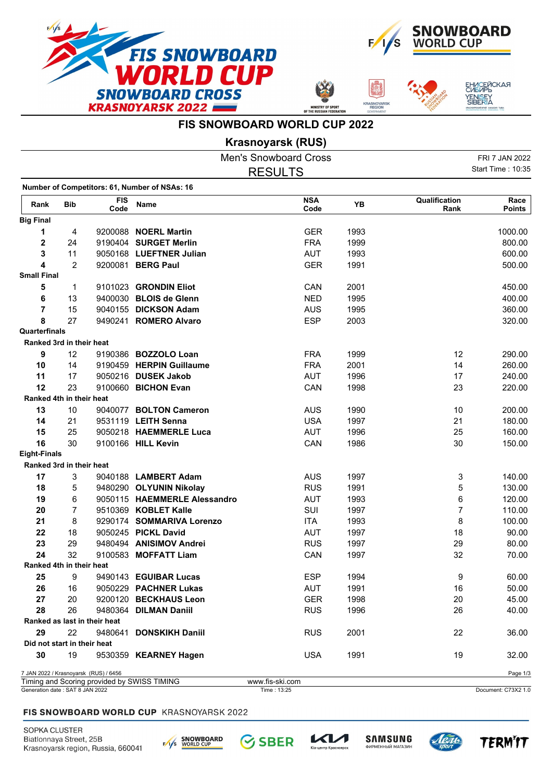







## **FIS SNOWBOARD WORLD CUP 2022**

**Krasnoyarsk (RUS)**

|                             |                |                                       |                                               | <b>Men's Snowboard Cross</b> |      |                       | FRI 7 JAN 2022        |
|-----------------------------|----------------|---------------------------------------|-----------------------------------------------|------------------------------|------|-----------------------|-----------------------|
|                             |                |                                       |                                               | <b>RESULTS</b>               |      |                       | Start Time: 10:35     |
|                             |                |                                       | Number of Competitors: 61, Number of NSAs: 16 |                              |      |                       |                       |
| Rank                        | <b>Bib</b>     | <b>FIS</b><br>Code                    | Name                                          | <b>NSA</b><br>Code           | YB   | Qualification<br>Rank | Race<br><b>Points</b> |
| <b>Big Final</b>            |                |                                       |                                               |                              |      |                       |                       |
| 1                           | 4              |                                       | 9200088 NOERL Martin                          | <b>GER</b>                   | 1993 |                       | 1000.00               |
| $\overline{2}$              | 24             |                                       | 9190404 SURGET Merlin                         | <b>FRA</b>                   | 1999 |                       | 800.00                |
| 3                           | 11             |                                       | 9050168 LUEFTNER Julian                       | AUT                          | 1993 |                       | 600.00                |
| 4                           | $\overline{2}$ |                                       | 9200081 BERG Paul                             | <b>GER</b>                   | 1991 |                       | 500.00                |
| <b>Small Final</b>          |                |                                       |                                               |                              |      |                       |                       |
| 5                           | 1              |                                       | 9101023 GRONDIN Eliot                         | CAN                          | 2001 |                       | 450.00                |
| 6                           | 13             |                                       | 9400030 BLOIS de Glenn                        | <b>NED</b>                   | 1995 |                       | 400.00                |
| $\overline{7}$              | 15             |                                       | 9040155 DICKSON Adam                          | <b>AUS</b>                   | 1995 |                       | 360.00                |
| 8                           | 27             |                                       | 9490241 ROMERO Alvaro                         | <b>ESP</b>                   | 2003 |                       | 320.00                |
| Quarterfinals               |                |                                       |                                               |                              |      |                       |                       |
| Ranked 3rd in their heat    |                |                                       |                                               |                              |      |                       |                       |
| 9                           | 12             |                                       | 9190386 BOZZOLO Loan                          | <b>FRA</b>                   | 1999 | 12                    | 290.00                |
| 10                          | 14             |                                       | 9190459 HERPIN Guillaume                      | <b>FRA</b>                   | 2001 | 14                    | 260.00                |
| 11                          | 17             |                                       | 9050216 DUSEK Jakob                           | <b>AUT</b>                   | 1996 | 17                    | 240.00                |
| 12                          | 23             |                                       | 9100660 BICHON Evan                           | CAN                          | 1998 | 23                    | 220.00                |
| Ranked 4th in their heat    |                |                                       |                                               |                              |      |                       |                       |
| 13                          | 10             |                                       | 9040077 BOLTON Cameron                        | <b>AUS</b>                   | 1990 | 10                    | 200.00                |
| 14                          | 21             |                                       | 9531119 LEITH Senna                           | <b>USA</b>                   | 1997 | 21                    | 180.00                |
| 15                          | 25             |                                       | 9050218 HAEMMERLE Luca                        | <b>AUT</b>                   | 1996 | 25                    | 160.00                |
| 16                          | 30             |                                       | 9100166 HILL Kevin                            | CAN                          | 1986 | 30                    | 150.00                |
| <b>Eight-Finals</b>         |                |                                       |                                               |                              |      |                       |                       |
| Ranked 3rd in their heat    |                |                                       |                                               |                              |      |                       |                       |
| 17                          | 3              |                                       | 9040188 LAMBERT Adam                          | <b>AUS</b>                   | 1997 | 3                     | 140.00                |
| 18                          | 5              |                                       | 9480290 OLYUNIN Nikolay                       | <b>RUS</b>                   | 1991 | 5                     | 130.00                |
| 19                          | 6              |                                       | 9050115 HAEMMERLE Alessandro                  | <b>AUT</b>                   | 1993 | 6                     | 120.00                |
| 20                          | $\overline{7}$ |                                       | 9510369 KOBLET Kalle                          | <b>SUI</b>                   | 1997 | 7                     | 110.00                |
| 21                          | 8              |                                       | 9290174 SOMMARIVA Lorenzo                     | <b>ITA</b>                   | 1993 | 8                     | 100.00                |
| 22                          | 18             |                                       | 9050245 PICKL David                           | AUT                          | 1997 | 18                    | 90.00                 |
| 23                          |                |                                       | 9480494 ANISIMOV Andrei                       |                              |      |                       | 80.00                 |
| 24                          | 29<br>32       |                                       |                                               | <b>RUS</b>                   | 1997 | 29                    |                       |
|                             |                |                                       | 9100583 MOFFATT Liam                          | CAN                          | 1997 | 32                    | 70.00                 |
| Ranked 4th in their heat    |                |                                       |                                               |                              |      |                       |                       |
| 25                          | 9              |                                       | 9490143 EGUIBAR Lucas                         | <b>ESP</b>                   | 1994 | 9                     | 60.00                 |
| 26                          | 16             |                                       | 9050229 PACHNER Lukas                         | <b>AUT</b>                   | 1991 | 16                    | 50.00                 |
| 27                          | 20             |                                       | 9200120 BECKHAUS Leon                         | <b>GER</b>                   | 1998 | 20                    | 45.00                 |
| 28                          | 26             |                                       | 9480364 DILMAN Daniil                         | <b>RUS</b>                   | 1996 | 26                    | 40.00                 |
|                             |                | Ranked as last in their heat          |                                               |                              |      |                       |                       |
| 29                          | 22             |                                       | 9480641 DONSKIKH Daniil                       | <b>RUS</b>                   | 2001 | 22                    | 36.00                 |
| Did not start in their heat |                |                                       |                                               |                              |      |                       |                       |
| 30                          | 19             |                                       | 9530359 KEARNEY Hagen                         | <b>USA</b>                   | 1991 | 19                    | 32.00                 |
|                             |                | 7 JAN 2022 / Krasnoyarsk (RUS) / 6456 | Timing and Cooring provided by CIMICC TIMINO  | ways fin oki oom             |      |                       | Page 1/3              |

Generation date : SAT 8 JAN 2022 Time : 13:25 Document: C73X2 1.0 Timing and Scoring provided by SWISS TIMING www.fis-ski.com

## FIS SNOWBOARD WORLD CUP KRASNOYARSK 2022

SOPKA CLUSTER Biatlonnaya Street, 25B Krasnoyarsk region, Russia, 660041



**SBER** 

 $\mathcal{K}$ 

тр Красн





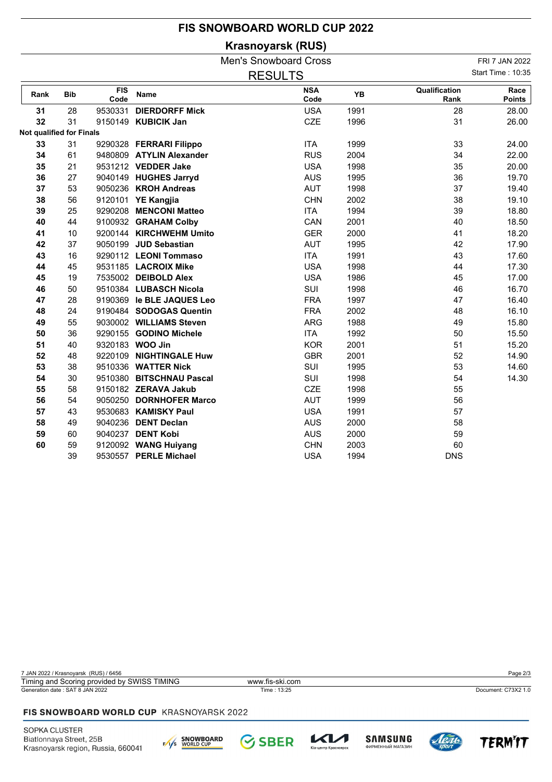## **FIS SNOWBOARD WORLD CUP 2022**

**Krasnoyarsk (RUS)**

|                          |            |                    |                           | <b>Men's Snowboard Cross</b> |      |                       | FRI 7 JAN 2022        |
|--------------------------|------------|--------------------|---------------------------|------------------------------|------|-----------------------|-----------------------|
|                          |            |                    |                           | <b>RESULTS</b>               |      |                       | Start Time: 10:35     |
| Rank                     | <b>Bib</b> | <b>FIS</b><br>Code | <b>Name</b>               | <b>NSA</b><br>Code           | YB   | Qualification<br>Rank | Race<br><b>Points</b> |
| 31                       | 28         | 9530331            | <b>DIERDORFF Mick</b>     | <b>USA</b>                   | 1991 | 28                    | 28.00                 |
| 32                       | 31         |                    | 9150149 KUBICIK Jan       | <b>CZE</b>                   | 1996 | 31                    | 26.00                 |
| Not qualified for Finals |            |                    |                           |                              |      |                       |                       |
| 33                       | 31         |                    | 9290328 FERRARI Filippo   | <b>ITA</b>                   | 1999 | 33                    | 24.00                 |
| 34                       | 61         |                    | 9480809 ATYLIN Alexander  | <b>RUS</b>                   | 2004 | 34                    | 22.00                 |
| 35                       | 21         |                    | 9531212 VEDDER Jake       | <b>USA</b>                   | 1998 | 35                    | 20.00                 |
| 36                       | 27         |                    | 9040149 HUGHES Jarryd     | <b>AUS</b>                   | 1995 | 36                    | 19.70                 |
| 37                       | 53         |                    | 9050236 KROH Andreas      | <b>AUT</b>                   | 1998 | 37                    | 19.40                 |
| 38                       | 56         |                    | 9120101 YE Kangjia        | <b>CHN</b>                   | 2002 | 38                    | 19.10                 |
| 39                       | 25         |                    | 9290208 MENCONI Matteo    | <b>ITA</b>                   | 1994 | 39                    | 18.80                 |
| 40                       | 44         |                    | 9100932 GRAHAM Colby      | CAN                          | 2001 | 40                    | 18.50                 |
| 41                       | 10         |                    | 9200144 KIRCHWEHM Umito   | <b>GER</b>                   | 2000 | 41                    | 18.20                 |
| 42                       | 37         |                    | 9050199 JUD Sebastian     | AUT                          | 1995 | 42                    | 17.90                 |
| 43                       | 16         |                    | 9290112 LEONI Tommaso     | <b>ITA</b>                   | 1991 | 43                    | 17.60                 |
| 44                       | 45         |                    | 9531185 LACROIX Mike      | <b>USA</b>                   | 1998 | 44                    | 17.30                 |
| 45                       | 19         |                    | 7535002 DEIBOLD Alex      | <b>USA</b>                   | 1986 | 45                    | 17.00                 |
| 46                       | 50         |                    | 9510384 LUBASCH Nicola    | SUI                          | 1998 | 46                    | 16.70                 |
| 47                       | 28         |                    | 9190369 le BLE JAQUES Leo | <b>FRA</b>                   | 1997 | 47                    | 16.40                 |
| 48                       | 24         |                    | 9190484 SODOGAS Quentin   | <b>FRA</b>                   | 2002 | 48                    | 16.10                 |
| 49                       | 55         |                    | 9030002 WILLIAMS Steven   | <b>ARG</b>                   | 1988 | 49                    | 15.80                 |
| 50                       | 36         |                    | 9290155 GODINO Michele    | <b>ITA</b>                   | 1992 | 50                    | 15.50                 |
| 51                       | 40         |                    | 9320183 WOO Jin           | <b>KOR</b>                   | 2001 | 51                    | 15.20                 |
| 52                       | 48         |                    | 9220109 NIGHTINGALE Huw   | <b>GBR</b>                   | 2001 | 52                    | 14.90                 |
| 53                       | 38         |                    | 9510336 WATTER Nick       | SUI                          | 1995 | 53                    | 14.60                 |
| 54                       | 30         |                    | 9510380 BITSCHNAU Pascal  | SUI                          | 1998 | 54                    | 14.30                 |
| 55                       | 58         |                    | 9150182 ZERAVA Jakub      | <b>CZE</b>                   | 1998 | 55                    |                       |
| 56                       | 54         |                    | 9050250 DORNHOFER Marco   | <b>AUT</b>                   | 1999 | 56                    |                       |
| 57                       | 43         |                    | 9530683 KAMISKY Paul      | <b>USA</b>                   | 1991 | 57                    |                       |
| 58                       | 49         |                    | 9040236 DENT Declan       | <b>AUS</b>                   | 2000 | 58                    |                       |
| 59                       | 60         |                    | 9040237 DENT Kobi         | <b>AUS</b>                   | 2000 | 59                    |                       |
| 60                       | 59         |                    | 9120092 WANG Huiyang      | <b>CHN</b>                   | 2003 | 60                    |                       |
|                          | 39         |                    | 9530557 PERLE Michael     | <b>USA</b>                   | 1994 | <b>DNS</b>            |                       |

7 JAN 2022 / Krasnoyarsk (RUS) / 6456 Page 2/3 Generation date : SAT 8 JAN 2022 Time : 13:25 Document: C73X2 1.0 Timing and Scoring provided by SWISS TIMING www.fis-ski.com

## FIS SNOWBOARD WORLD CUP KRASNOYARSK 2022